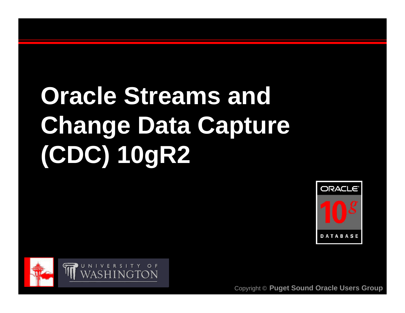# **Oracle Streams and Change Data Capture (CDC) 10gR2**



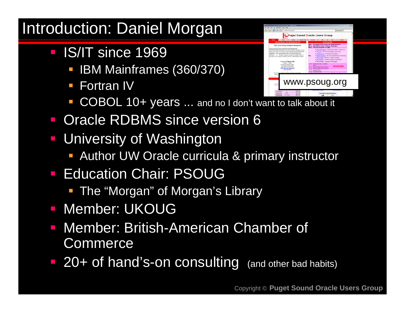### Introduction: Daniel Morgan

- **IS/IT since 1969** 
	- **BM Mainframes (360/370)**
	- **Fortran IV**



- **COBOL 10+ years ...** and no I don't want to talk about it
- Oracle RDBMS since version 6
- $\mathcal{L}_{\mathcal{A}}$  University of Washington
	- **Author UW Oracle curricula & primary instructor**
- Education Chair: PSOUG
	- **The "Morgan" of Morgan's Library**
- **Member: UKOUG**
- Member: British-American Chamber of Commerce
- **20+ of hand's-on consulting** (and other bad habits)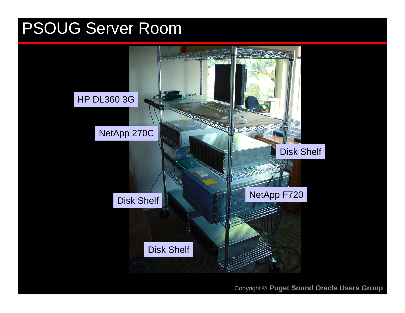#### PSOUG Server Room

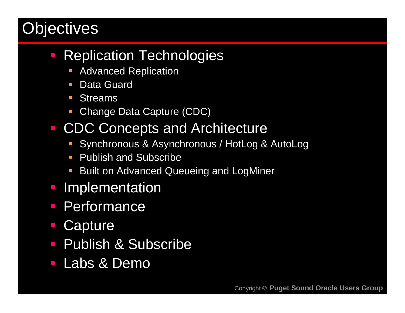### **Objectives**

#### $\mathbb{R}^n$ Replication Technologies

- b. Advanced Replication
- П Data Guard
- **Streams**
- Change Data Capture (CDC)

#### ■ CDC Concepts and Architecture

- Synchronous & Asynchronous / HotLog & AutoLog
- **Publish and Subscribe**
- П Built on Advanced Queueing and LogMiner
- Implementation
- **Performance**
- **Capture**
- **Publish & Subscribe**
- Labs & Demo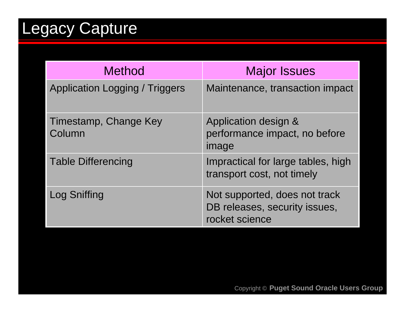# Legacy Capture

| <b>Method</b>                         | <b>Major Issues</b>                                                              |
|---------------------------------------|----------------------------------------------------------------------------------|
| <b>Application Logging / Triggers</b> | Maintenance, transaction impact                                                  |
| Timestamp, Change Key<br>Column       | Application design &<br>performance impact, no before<br>image                   |
| <b>Table Differencing</b>             | Impractical for large tables, high<br>transport cost, not timely                 |
| Log Sniffing                          | Not supported, does not track<br>DB releases, security issues,<br>rocket science |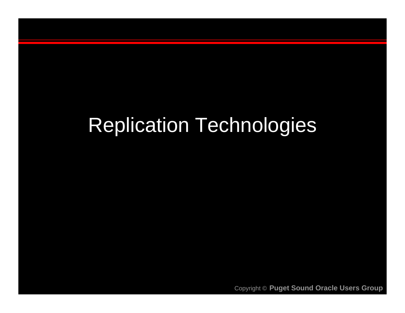# Replication Technologies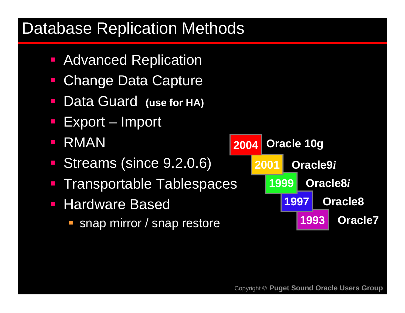#### Database Replication Methods

- Advanced Replication
- Change Data Capture
- $\mathcal{L}_{\mathcal{A}}$ Data Guard **(use for HA)**
- Export Import
- $\mathbb{R}^2$ RMAN
- Streams (since 9.2.0.6)
- Transportable Tablespaces
- $\mathcal{L}_{\mathcal{A}}$  Hardware Based
	- **snap mirror / snap restore 1993**

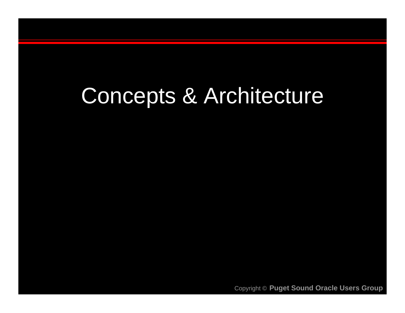# Concepts & Architecture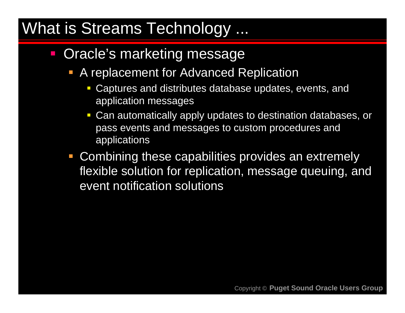#### What is Streams Technology ...

- $\mathbb{R}^n$  Oracle's marketing message
	- **A replacement for Advanced Replication** 
		- П Captures and distributes database updates, events, and application messages
		- Can automatically apply updates to destination databases, or pass events and messages to custom procedures and applications
	- **Combining these capabilities provides an extremely** flexible solution for replication, message queuing, and event notification solutions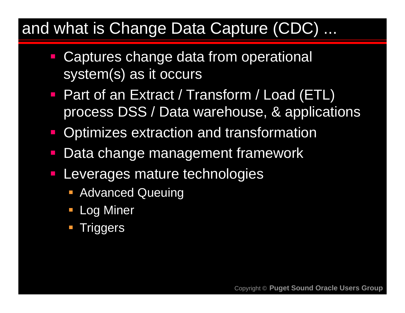#### and what is Change Data Capture (CDC) ...

- **EXPE Captures change data from operational** system(s) as it occurs
- Part of an Extract / Transform / Load (ETL) process DSS / Data warehouse, & applications
- Optimizes extraction and transformation
- $\mathcal{L}_{\mathcal{A}}$ Data change management framework
- Leverages mature technologies
	- **Advanced Queuing**
	- Log Miner
	- **Triggers**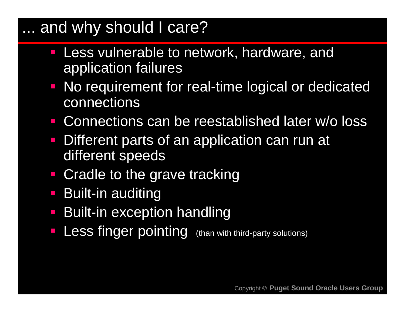#### ... and why should I care?

- $\mathbb{R}^2$  Less vulnerable to network, hardware, and application failures
- **No requirement for real-time logical or dedicated** connections
- Connections can be reestablished later w/o loss
- Different parts of an application can run at different speeds
- $\mathcal{L}_{\mathcal{A}}$ Cradle to the grave tracking
- Built-in auditing
- Built-in exception handling
- Less finger pointing (than with third-party solutions)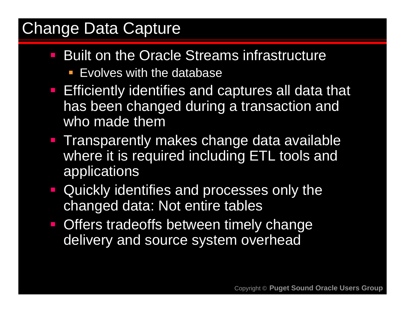#### Change Data Capture

- **Built on the Oracle Streams infrastructure** 
	- **EVOLUTE SAME STARE EVOLUTE:** EVOLUTE: 10 AM
- **Efficiently identifies and captures all data that** has been changed during a transaction and who made them
- **Transparently makes change data available** where it is required including ETL tools and applications
- **Quickly identifies and processes only the** changed data: Not entire tables
- **Offers tradeoffs between timely change** delivery and source system overhead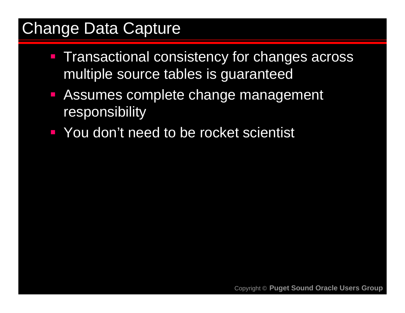#### Change Data Capture

- **Transactional consistency for changes across** multiple source tables is guaranteed
- Assumes complete change management responsibility
- **Theory You don't need to be rocket scientist**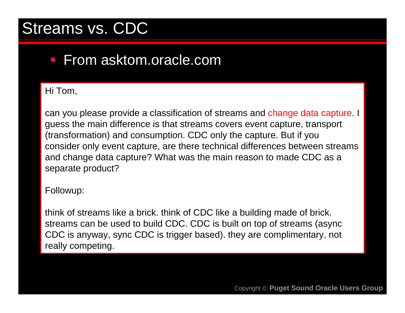#### Streams vs. CDC

#### **From asktom.oracle.com**

#### Hi Tom,

can you please provide a classification of streams and change data capture. I guess the main difference is that streams covers event capture, transport (transformation) and consumption. CDC only the capture. But if you consider only event capture, are there technical differences between streams and change data capture? What was the main reason to made CDC as <sup>a</sup> separate product?

#### Followup:

think of streams like a brick. think of CDC like a building made of brick. streams can be used to build CDC. CDC is built on top of streams (async CDC is anyway, sync CDC is trigger based). they are complimentary, not really competing.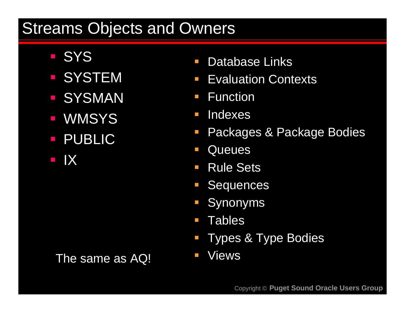#### Streams Objects and Owners

- **SYS**
- **SYSTEM**
- **SYSMAN**
- **WMSYS**
- **PUBLIC**
- **IIX**

The same as AQ!

- $\begin{bmatrix} 1 \\ 1 \end{bmatrix}$ **Database Links**
- $\mathbb{R}^n$ **Evaluation Contexts**
- $\overline{\phantom{a}}$ **Function**
- $\mathcal{L}_{\mathcal{A}}$ **Indexes**
- $\mathcal{L}_{\mathcal{A}}$ Packages & Package Bodies
- $\begin{bmatrix} 1 \\ 1 \end{bmatrix}$ **Queues**
- $\begin{bmatrix} 1 \\ 1 \end{bmatrix}$ Rule Sets
- $\mathbb{R}^n$ **Sequences**
- $\mathbb{R}^n$ Synonyms
- $\mathbb{R}^n$ **Tables**
- T. Types & Type Bodies
- $\mathbb{R}^n$ Views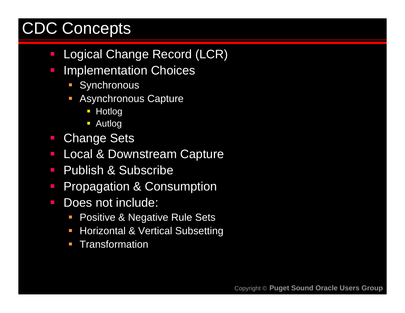# CDC Concepts

- $\overline{\mathbb{R}^2}$ Logical Change Record (LCR)
- $\mathcal{L}_{\mathcal{A}}$  Implementation Choices
	- **Synchronous**
	- **Asynchronous Capture** 
		- **Hotlog**
		- **Autlog**
- $\mathcal{L}_{\mathcal{A}}$ Change Sets
- $\Box$ Local & Downstream Capture
- $\overline{\mathbb{R}^2}$ Publish & Subscribe
- $\mathbb{R}^n$ Propagation & Consumption
- $\mathcal{L}_{\mathcal{A}}$  Does not include:
	- $\mathcal{L}_{\mathcal{A}}$ Positive & Negative Rule Sets
	- $\mathcal{L}_{\mathcal{A}}$ Horizontal & Vertical Subsetting
	- b. **Transformation**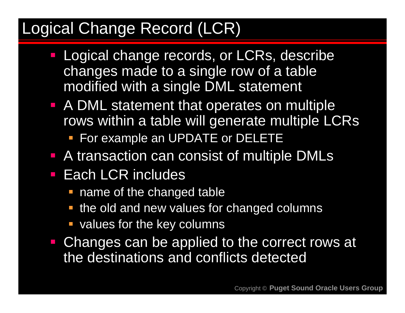#### Logical Change Record (LCR)

- **Logical change records, or LCRs, describe** changes made to a single row of a table modified with a single DML statement
- A DML statement that operates on multiple rows within a table will generate multiple LCRs
	- **For example an UPDATE or DELETE**
- **A transaction can consist of multiple DMLs**
- **Each LCR includes** 
	- **name of the changed table**
	- **the old and new values for changed columns**
	- **values for the key columns**
- **Changes can be applied to the correct rows at** the destinations and conflicts detected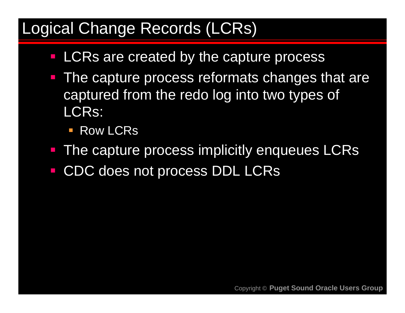#### Logical Change Records (LCRs)

- **LCRs are created by the capture process**
- The capture process reformats changes that are captured from the redo log into two types of LCRs:
	- **Row LCRs**
- The capture process implicitly enqueues LCRs
- CDC does not process DDL LCRs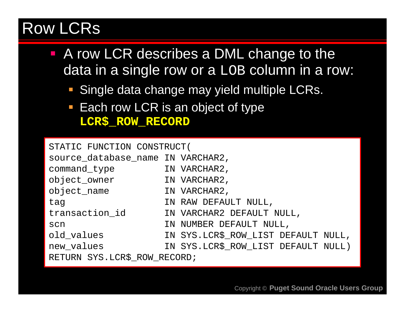#### Row LCRs

- A row LCR describes a DML change to the data in a single row or a LOB column in a row:
	- **Single data change may yield multiple LCRs.**
	- **Each row LCR is an object of type LCR\$\_ROW\_RECORD**

| STATIC FUNCTION CONSTRUCT(        |                                     |  |
|-----------------------------------|-------------------------------------|--|
| source_database_name_IN_VARCHAR2, |                                     |  |
| command type                      | IN VARCHAR2,                        |  |
| object_owner                      | IN VARCHAR2,                        |  |
| object_name                       | IN VARCHAR2,                        |  |
| tag                               | IN RAW DEFAULT NULL,                |  |
| transaction id                    | IN VARCHAR2 DEFAULT NULL,           |  |
| scn                               | IN NUMBER DEFAULT NULL,             |  |
| old_values                        | IN SYS.LCR\$_ROW_LIST DEFAULT NULL, |  |
| new_values                        | IN SYS.LCR\$_ROW_LIST DEFAULT NULL) |  |
| RETURN SYS.LCR\$ ROW RECORD;      |                                     |  |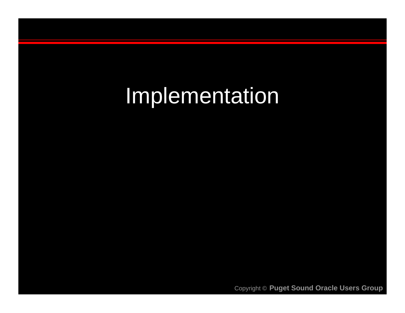# Implementation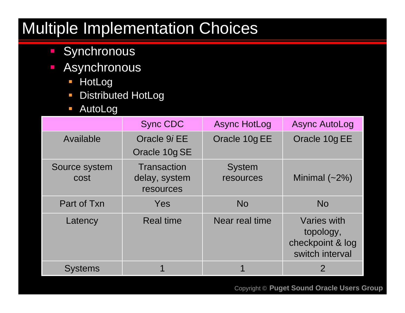# Multiple Implementation Choices

- **Synchronous**
- $\overline{\mathcal{L}}$  Asynchronous
	- HotLog
	- $\Box$ Distributed HotLog
	- $\mathcal{L}^{\text{max}}$ AutoLog

|                       | <b>Sync CDC</b>                                  | <b>Async HotLog</b>        | <b>Async AutoLog</b>                                            |
|-----------------------|--------------------------------------------------|----------------------------|-----------------------------------------------------------------|
| Available             | Oracle 9i EE<br>Oracle 10g SE                    | Oracle 10g EE              | Oracle 10g EE                                                   |
| Source system<br>cost | <b>Transaction</b><br>delay, system<br>resources | <b>System</b><br>resources | Minimal $(-2%)$                                                 |
| Part of Txn           | Yes                                              | <b>No</b>                  | <b>No</b>                                                       |
| Latency               | <b>Real time</b>                                 | Near real time             | Varies with<br>topology,<br>checkpoint & log<br>switch interval |
| <b>Systems</b>        |                                                  |                            | 2                                                               |
|                       |                                                  |                            |                                                                 |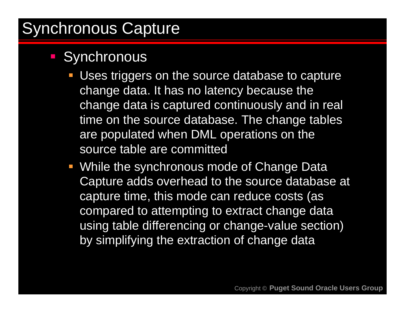## Synchronous Capture

#### **Synchronous**

- **Uses triggers on the source database to capture** change data. It has no latency because the change data is captured continuously and in real time on the source database. The change tables are populated when DML operations on the source table are committed
- **While the synchronous mode of Change Data** Capture adds overhead to the source database at capture time, this mode can reduce costs (as compared to attempting to extract change data using table differencing or change-value section) by simplifying the extraction of change data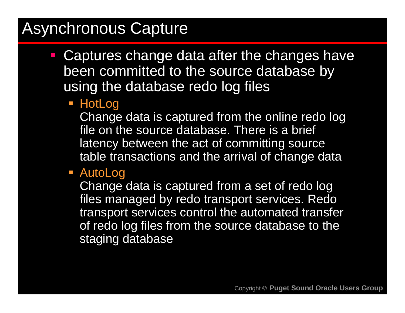### Asynchronous Capture

- **Captures change data after the changes have** been committed to the source database by using the database redo log files
	- HotLog

Change data is captured from the online redo log file on the source database. There is a brief latency between the act of committing source table transactions and the arrival of change data

AutoLog

Change data is captured from a set of redo log files managed by redo transport services. Redo transport services control the automated transfer of redo log files from the source database to the staging database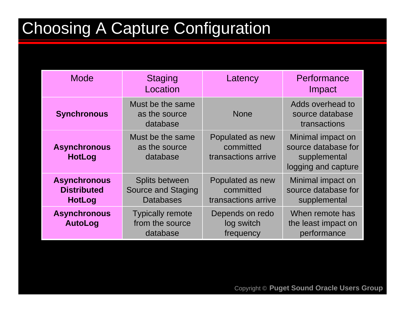# Choosing A Capture Configuration

| <b>Mode</b>                                                | <b>Staging</b><br>Location                                      | Latency                                              | Performance<br>Impact                                                           |
|------------------------------------------------------------|-----------------------------------------------------------------|------------------------------------------------------|---------------------------------------------------------------------------------|
| <b>Synchronous</b>                                         | Must be the same<br>as the source<br>database                   | <b>None</b>                                          | Adds overhead to<br>source database<br>transactions                             |
| <b>Asynchronous</b><br><b>HotLog</b>                       | Must be the same<br>as the source<br>database                   | Populated as new<br>committed<br>transactions arrive | Minimal impact on<br>source database for<br>supplemental<br>logging and capture |
| <b>Asynchronous</b><br><b>Distributed</b><br><b>HotLog</b> | Splits between<br><b>Source and Staging</b><br><b>Databases</b> | Populated as new<br>committed<br>transactions arrive | Minimal impact on<br>source database for<br>supplemental                        |
| <b>Asynchronous</b><br><b>AutoLog</b>                      | <b>Typically remote</b><br>from the source<br>database          | Depends on redo<br>log switch<br>frequency           | When remote has<br>the least impact on<br>performance                           |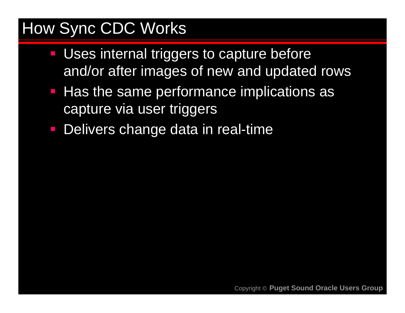### How Sync CDC Works

- Uses internal triggers to capture before and/or after images of new and updated rows
- Has the same performance implications as capture via user triggers
- Delivers change data in real-time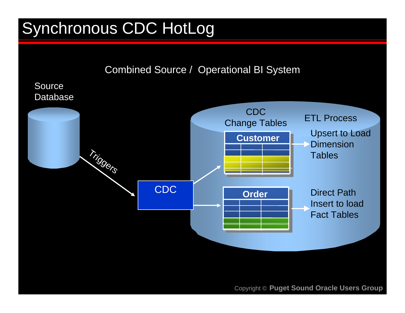# Synchronous CDC HotLog

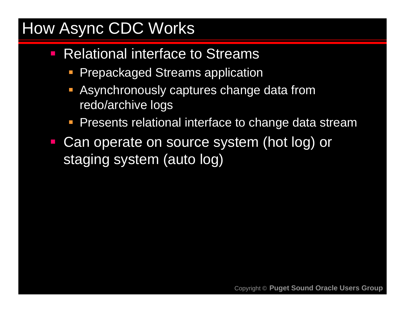## How Async CDC Works

- $\mathcal{L}_{\mathcal{A}}$  Relational interface to Streams
	- **Prepackaged Streams application**
	- Asynchronously captures change data from redo/archive logs
	- **Presents relational interface to change data stream**
- Can operate on source system (hot log) or staging system (auto log)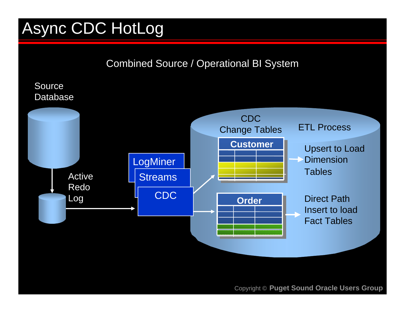# Async CDC HotLog

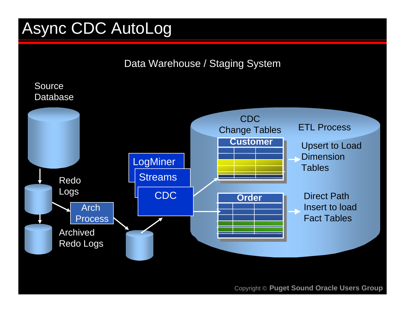# Async CDC AutoLog

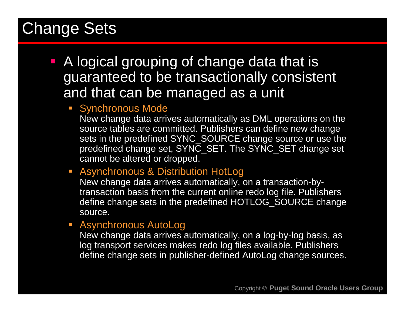#### Change Sets

- **A logical grouping of change data that is** guaranteed to be transactionally consistent and that can be managed as a unit
	- **Synchronous Mode**

New change data arrives automatically as DML operations on the source tables are committed. Publishers can define new change sets in the predefined SYNC\_SOURCE change source or use the predefined change set, SYNC\_SET. The SYNC\_SET change set cannot be altered or dropped.

Asynchronous & Distribution HotLog

New change data arrives automatically, on a transaction-bytransaction basis from the current online redo log file. Publishers define change sets in the predefined HOTLOG\_SOURCE change source.

b. Asynchronous AutoLog

New change data arrives automatically, on a log-by-log basis, as log transport services makes redo log files available. Publishers define change sets in publisher-defined AutoLog change sources.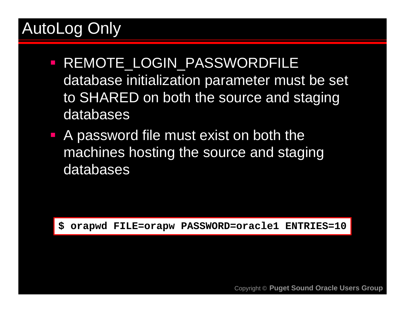# AutoLog Only

- **REMOTE\_LOGIN\_PASSWORDFILE** database initialization parameter must be set to SHARED on both the source and staging databases
- **A password file must exist on both the** machines hosting the source and staging databases

**\$ orapwd FILE=orapw PASSWORD=oracle1 ENTRIES=10**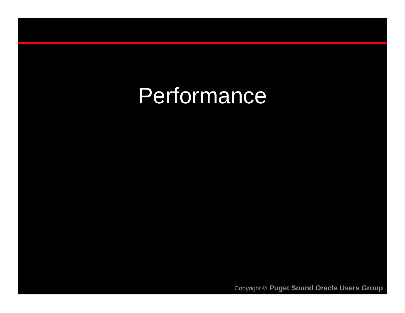# **Performance**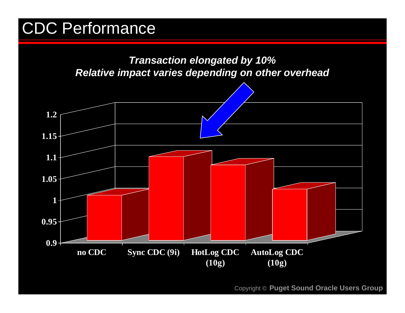## CDC Performance

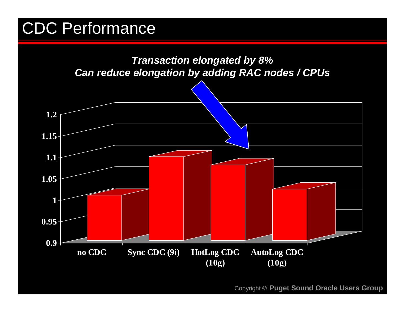## CDC Performance

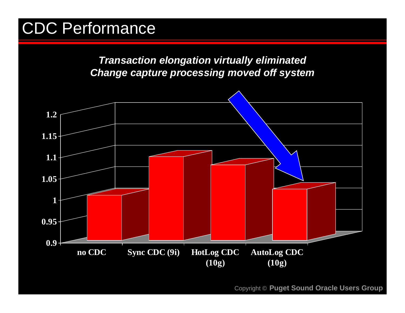#### CDC Performance

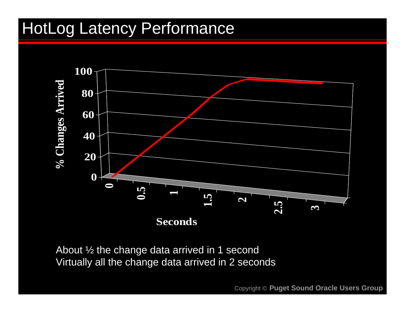#### HotLog Latency Performance



About ½ the change data arrived in 1 second Virtually all the change data arrived in 2 seconds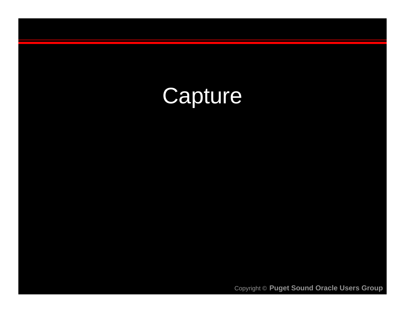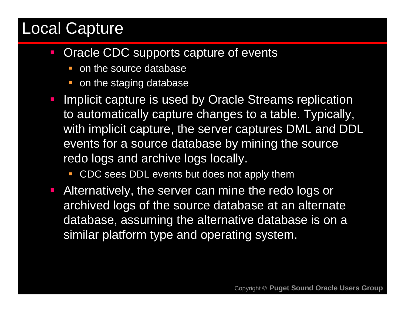#### Local Capture

- $\mathcal{L}_{\mathcal{A}}$  Oracle CDC supports capture of events
	- on the source database
	- **on the staging database**
- b. Implicit capture is used by Oracle Streams replication to automatically capture changes to a table. Typically, with implicit capture, the server captures DML and DDL events for a source database by mining the source redo logs and archive logs locally.
	- П CDC sees DDL events but does not apply them
- **Alternatively, the server can mine the redo logs or** archived logs of the source database at an alternate database, assuming the alternative database is on a similar platform type and operating system.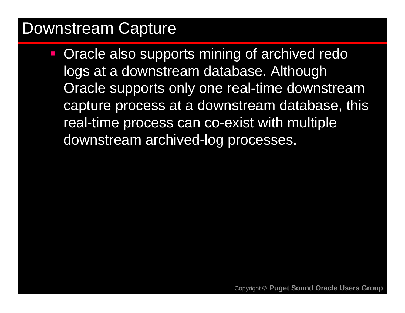#### Downstream Capture

 Oracle also supports mining of archived redo logs at a downstream database. Although Oracle supports only one real-time downstream capture process at a downstream database, this real-time process can co-exist with multiple downstream archived-log processes.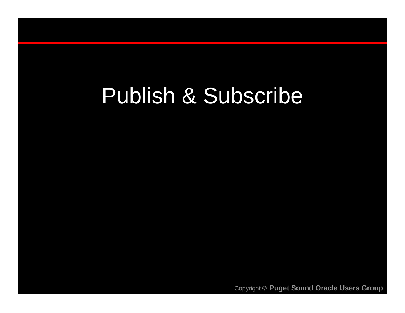# Publish & Subscribe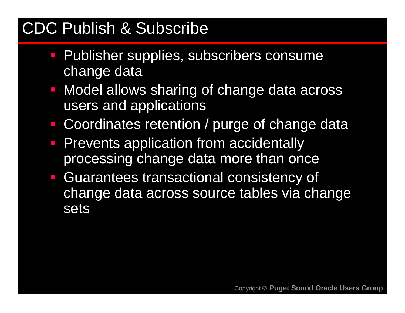### CDC Publish & Subscribe

- Publisher supplies, subscribers consume change data
- Model allows sharing of change data across users and applications
- Coordinates retention / purge of change data
- **Prevents application from accidentally** processing change data more than once
- $\overline{\phantom{a}}$  Guarantees transactional consistency of change data across source tables via change sets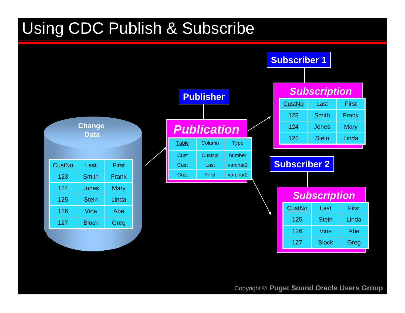## Using CDC Publish & Subscribe

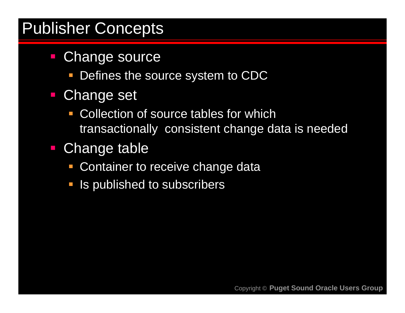#### Publisher Concepts

- **Change source** 
	- Defines the source system to CDC
- $\mathcal{L}_{\mathcal{A}}$  Change set
	- Collection of source tables for whichtransactionally consistent change data is needed
- Change table
	- **Container to receive change data**
	- **If** Is published to subscribers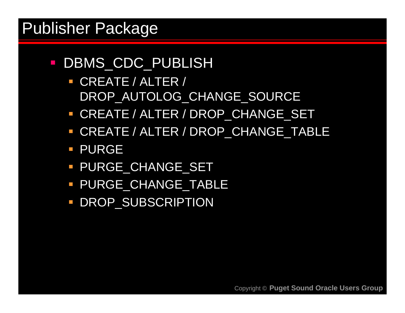#### Publisher Package

- DBMS\_CDC\_PUBLISH
	- CREATE / ALTER / DROP\_AUTOLOG\_CHANGE\_SOURCE
	- CREATE / ALTER / DROP\_CHANGE\_SET
	- CREATE / ALTER / DROP\_CHANGE\_TABLE
	- **PURGE**
	- **PURGE\_CHANGE\_SET**
	- **PURGE\_CHANGE\_TABLE**
	- **DROP\_SUBSCRIPTION**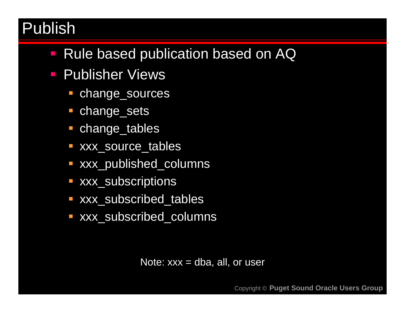#### Publish

- Rule based publication based on AQ
- **Publisher Views** 
	- change\_sources
	- **Change\_sets**
	- change\_tables
	- xxx\_source\_tables
	- xxx\_published\_columns
	- **xxx\_subscriptions**
	- **EXXY\_subscribed\_tables**
	- xxx\_subscribed\_columns

Note:  $xxx = dba$ , all, or user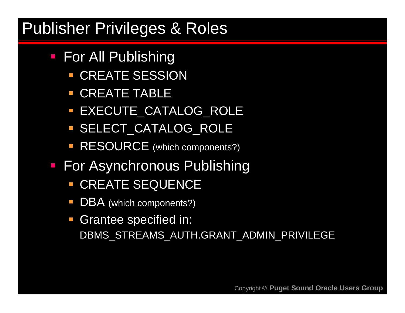#### Publisher Privileges & Roles

- For All Publishing
	- CREATE SESSION
	- **CREATE TABLE**
	- EXECUTE\_CATALOG\_ROLE
	- **SELECT\_CATALOG\_ROLE**
	- **RESOURCE** (which components?)
- For Asynchronous Publishing
	- **CREATE SEQUENCE**
	- **DBA** (which components?)
	- **Grantee specified in:** DBMS\_STREAMS\_AUTH.GRANT\_ADMIN\_PRIVILEGE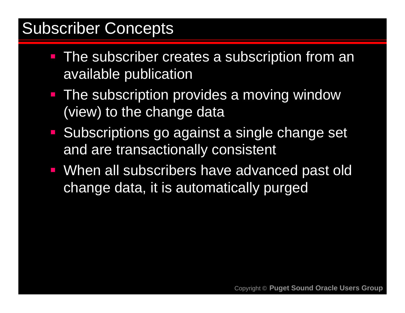#### Subscriber Concepts

- **The subscriber creates a subscription from an** available publication
- **The subscription provides a moving window** (view) to the change data
- **Subscriptions go against a single change set** and are transactionally consistent
- When all subscribers have advanced past old change data, it is automatically purged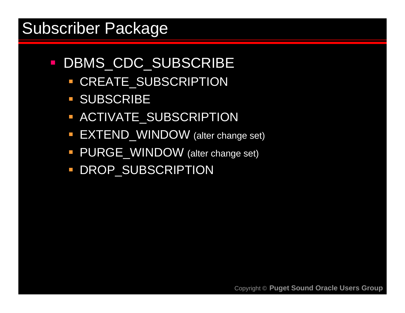#### Subscriber Package

- DBMS\_CDC\_SUBSCRIBE
	- **CREATE\_SUBSCRIPTION**
	- **SUBSCRIBE**
	- **ACTIVATE\_SUBSCRIPTION**
	- **EXTEND\_WINDOW** (alter change set)
	- **PURGE\_WINDOW** (alter change set)
	- **DROP\_SUBSCRIPTION**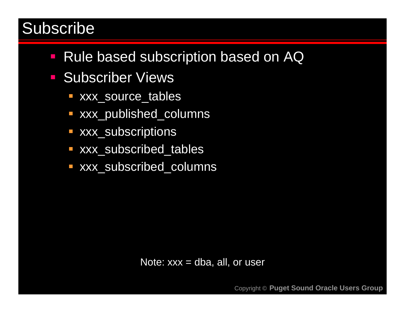#### Subscribe

- **Rule based subscription based on AQ**
- **Subscriber Views** 
	- xxx\_source\_tables
	- xxx\_published\_columns
	- **xxx\_subscriptions**
	- **EXXY\_subscribed\_tables**
	- xxx\_subscribed\_columns

Note:  $xxx = dba$ , all, or user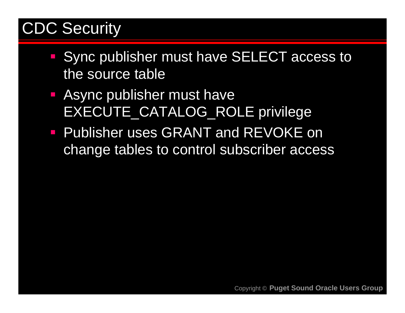### CDC Security

- Sync publisher must have SELECT access to the source table
- Async publisher must have EXECUTE\_CATALOG\_ROLE privilege
- **Publisher uses GRANT and REVOKE on** change tables to control subscriber access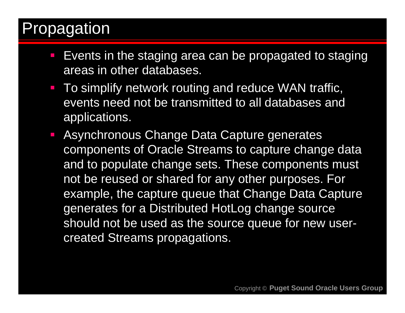#### Propagation

- **Events in the staging area can be propagated to staging** areas in other databases.
- **To simplify network routing and reduce WAN traffic,** events need not be transmitted to all databases and applications.
- **Asynchronous Change Data Capture generates** components of Oracle Streams to capture change data and to populate change sets. These components must not be reused or shared for any other purposes. For example, the capture queue that Change Data Capture generates for a Distributed HotLog change source should not be used as the source queue for new usercreated Streams propagations.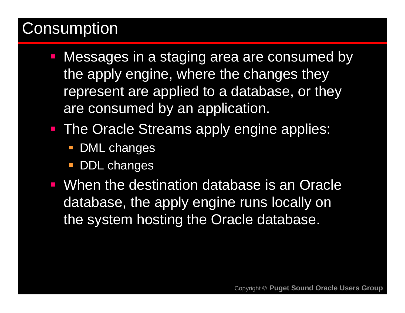#### **Consumption**

- Messages in a staging area are consumed by the apply engine, where the changes they represent are applied to a database, or they are consumed by an application.
- **The Oracle Streams apply engine applies:** 
	- **DML** changes
	- T. DDL changes
- When the destination database is an Oracle database, the apply engine runs locally on the system hosting the Oracle database.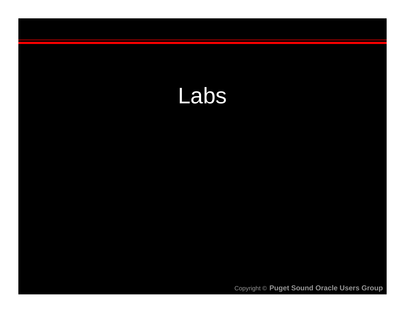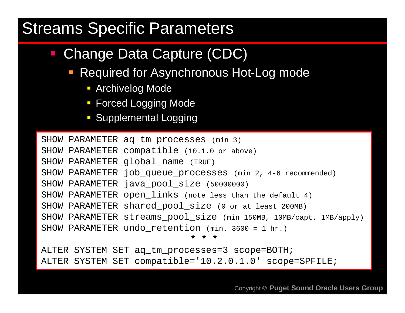#### Streams Specific Parameters

- $\mathcal{L}_{\mathcal{A}}$  Change Data Capture (CDC)
	- **Required for Asynchronous Hot-Log mode** 
		- Archivelog Mode
		- **Forced Logging Mode**
		- **Supplemental Logging**

SHOW PARAMETER aq\_tm\_processes (min 3) SHOW PARAMETER compatible (10.1.0 or above) SHOW PARAMETER global\_name (TRUE) SHOW PARAMETER job\_queue\_processes (min 2, 4-6 recommended) SHOW PARAMETER java pool size (50000000) SHOW PARAMETER open\_links (note less than the default 4) SHOW PARAMETER shared pool size (0 or at least 200MB) SHOW PARAMETER streams pool size (min 150MB, 10MB/capt. 1MB/apply) SHOW PARAMETER undo retention (min. 3600 = 1 hr.) **\* \* \***

ALTER SYSTEM SET aq\_tm\_processes=3 scope=BOTH; ALTER SYSTEM SET compatible='10.2.0.1.0' scope=SPFILE;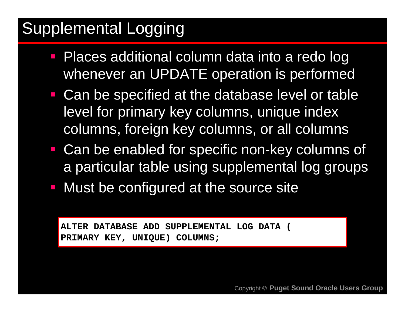# Supplemental Logging

- **Places additional column data into a redo log** whenever an UPDATE operation is performed
- Can be specified at the database level or table level for primary key columns, unique index columns, foreign key columns, or all columns
- Can be enabled for specific non-key columns of a particular table using supplemental log groups
- **Must be configured at the source site**

**ALTER DATABASE ADD SUPPLEMENTAL LOG DATA ( PRIMARY KEY, UNIQUE) COLUMNS;**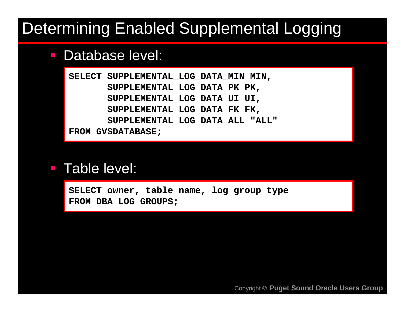#### Determining Enabled Supplemental Logging

#### $\mathcal{L}_{\mathcal{A}}$ Database level:

**SELECT SUPPLEMENTAL\_LOG\_DATA\_MIN MIN, SUPPLEMENTAL\_LOG\_DATA\_PK PK, SUPPLEMENTAL\_LOG\_DATA\_UI UI, SUPPLEMENTAL\_LOG\_DATA\_FK FK, SUPPLEMENTAL\_LOG\_DATA\_ALL "ALL" FROM GV\$DATABASE;**

#### $\mathcal{L}_{\mathcal{A}}$ Table level:

SELECT owner, table name, log group type **FROM DBA\_LOG\_GROUPS;**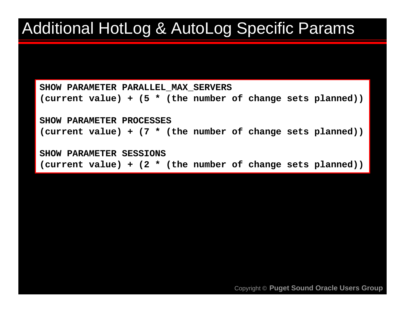#### Additional HotLog & AutoLog Specific Params

**SHOW PARAMETER PARALLEL\_MAX\_SERVERS (current value) + (5 \* (the number of change sets planned))**

**SHOW PARAMETER PROCESSES(current value) + (7 \* (the number of change sets planned))**

**SHOW PARAMETER SESSIONS(current value) + (2 \* (the number of change sets planned))**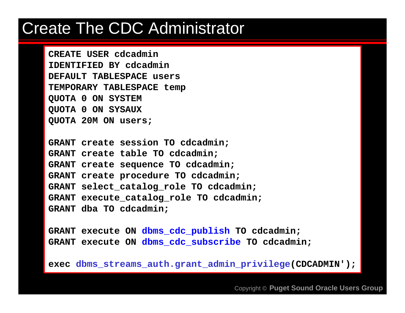#### Create The CDC Administrator

**CREATE USER cdcadminIDENTIFIED BY cdcadminDEFAULT TABLESPACE usersTEMPORARY TABLESPACE temp QUOTA 0 ON SYSTEM QUOTA 0 ON SYSAUX QUOTA 20M ON users;**

**GRANT create session TO cdcadmin; GRANT create table TO cdcadmin; GRANT create sequence TO cdcadmin; GRANT create procedure TO cdcadmin; GRANT select\_catalog\_role TO cdcadmin; GRANT execute\_catalog\_role TO cdcadmin; GRANT dba TO cdcadmin;**

**GRANT execute ON dbms\_cdc\_publish TO cdcadmin; GRANT execute ON dbms\_cdc\_subscribe TO cdcadmin;**

**exec dbms\_streams\_auth.grant\_admin\_privilege(CDCADMIN');**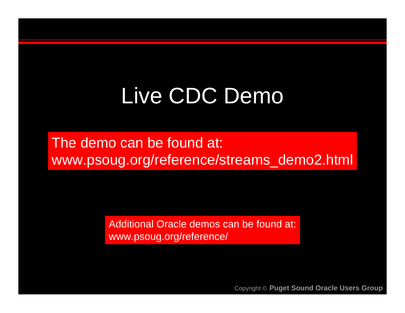# Live CDC Demo

The demo can be found at: www.psoug.org/reference/streams\_demo2.html

> Additional Oracle demos can be found at: www.psoug.org/reference/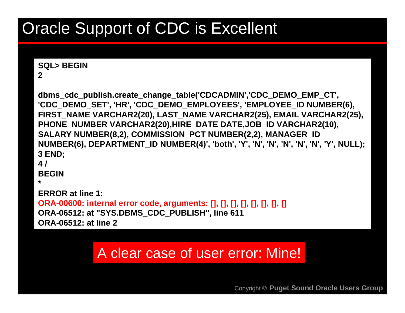# Oracle Support of CDC is Excellent

#### **SQL> BEGIN**

**2**

**dbms\_cdc\_publish.create\_change\_table('CDCADMIN','CDC\_DEMO\_EMP\_CT', 'CDC\_DEMO\_SET', 'HR', 'CDC\_DEMO\_EMPLOYEES', 'EMPLOYEE\_ID NUMBER(6), FIRST\_NAME VARCHAR2(20), LAST\_NAME VARCHAR2(25), EMAIL VARCHAR2(25), PHONE\_NUMBER VARCHAR2(20),HIRE\_DATE DATE,JOB\_ID VARCHAR2(10),**  SALARY NUMBER(8,2), COMMISSION PCT NUMBER(2,2), MANAGER ID **NUMBER(6), DEPARTMENT\_ID NUMBER(4)', 'both', 'Y', 'N', 'N', 'N', 'N', 'N', 'Y', NULL); 3 END; 4 /**

**BEGIN**

**\***

**ERROR at line 1:**

**ORA-00600: internal error code, arguments: [], [], [], [], [], [], [], [] ORA-06512: at "SYS.DBMS\_CDC\_PUBLISH", line 611 ORA-06512: at line 2** 

#### A clear case of user error: Mine!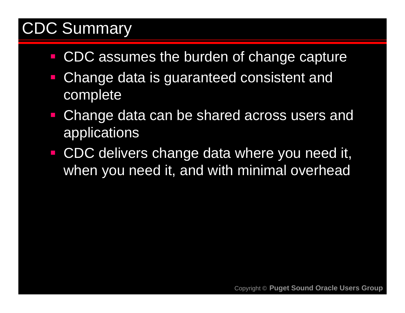## CDC Summary

- **CDC** assumes the burden of change capture
- Change data is guaranteed consistent and complete
- Change data can be shared across users and applications
- $\mathcal{L}_{\mathcal{A}}$  CDC delivers change data where you need it, when you need it, and with minimal overhead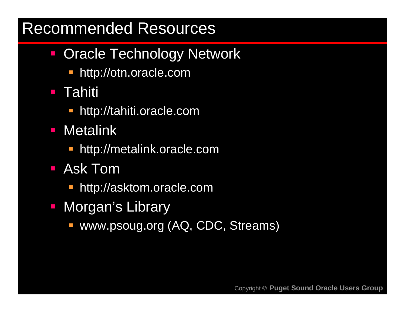#### Recommended Resources

- Oracle Technology Network
	- **http://otn.oracle.com**
- $\mathcal{L}_{\mathcal{A}}$ **Tahiti** 
	- **http://tahiti.oracle.com**
- Metalink
	- **http://metalink.oracle.com**
- Ask Tom
	- **http://asktom.oracle.com**
- Morgan's Library
	- www.psoug.org (AQ, CDC, Streams)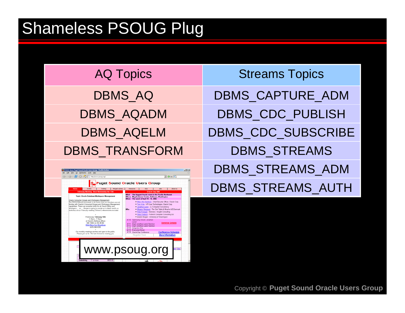### Shameless PSOUG Plug

| <b>AQ Topics</b>  | <b>Streams Topics</b>   |
|-------------------|-------------------------|
| <b>DBMS AQ</b>    | DBMS_CAPTURE_ADM        |
| <b>DBMS_AQADM</b> | DBMS_CDC_PUBLISH        |
| <b>DBMS_AQELM</b> | DBMS_CDC_SUBSCRIBE      |
| DBMS_TRANSFORM    | <b>DBMS_STREAMS</b>     |
| $\frac{1}{2}$     | <b>DBMS STREAMS ADM</b> |



DBMS\_STREAMS\_AUTH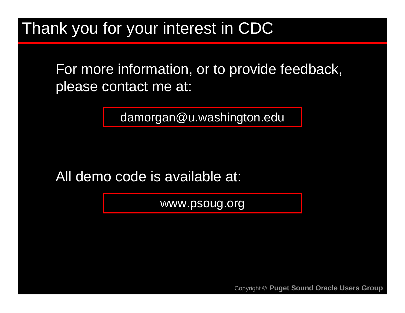Thank you for your interest in CDC

For more information, or to provide feedback, please contact me at:

damorgan@u.washington.edu

All demo code is available at:

www.psoug.org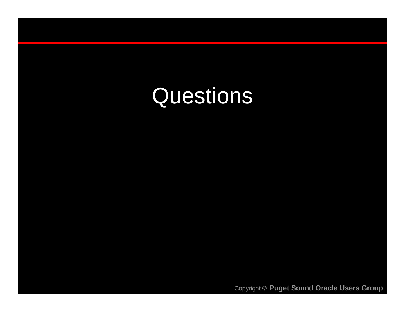# Questions